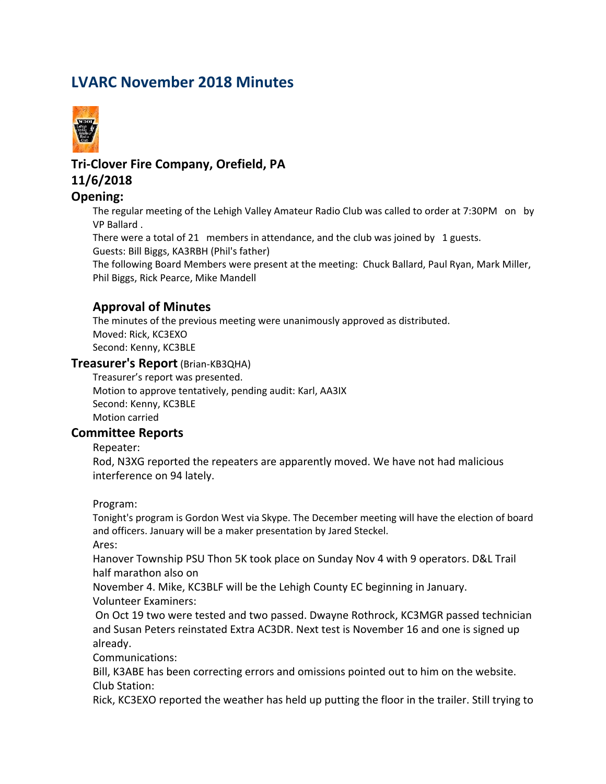# **LVARC November 2018 Minutes**



## **Tri-Clover Fire Company, Orefield, PA 11/6/2018**

#### **Opening:**

The regular meeting of the Lehigh Valley Amateur Radio Club was called to order at 7:30PM on by VP Ballard .

There were a total of 21 members in attendance, and the club was joined by 1 guests. Guests: Bill Biggs, KA3RBH (Phil's father)

The following Board Members were present at the meeting: Chuck Ballard, Paul Ryan, Mark Miller, Phil Biggs, Rick Pearce, Mike Mandell

## **Approval of Minutes**

The minutes of the previous meeting were unanimously approved as distributed. Moved: Rick, KC3EXO Second: Kenny, KC3BLE

#### **Treasurer's Report** (Brian-KB3QHA)

Treasurer's report was presented. Motion to approve tentatively, pending audit: Karl, AA3IX Second: Kenny, KC3BLE Motion carried

#### **Committee Reports**

Repeater:

Rod, N3XG reported the repeaters are apparently moved. We have not had malicious interference on 94 lately.

Program:

Tonight's program is Gordon West via Skype. The December meeting will have the election of board and officers. January will be a maker presentation by Jared Steckel.

Ares:

Hanover Township PSU Thon 5K took place on Sunday Nov 4 with 9 operators. D&L Trail half marathon also on

November 4. Mike, KC3BLF will be the Lehigh County EC beginning in January. Volunteer Examiners:

 On Oct 19 two were tested and two passed. Dwayne Rothrock, KC3MGR passed technician and Susan Peters reinstated Extra AC3DR. Next test is November 16 and one is signed up already.

Communications:

Bill, K3ABE has been correcting errors and omissions pointed out to him on the website. Club Station:

Rick, KC3EXO reported the weather has held up putting the floor in the trailer. Still trying to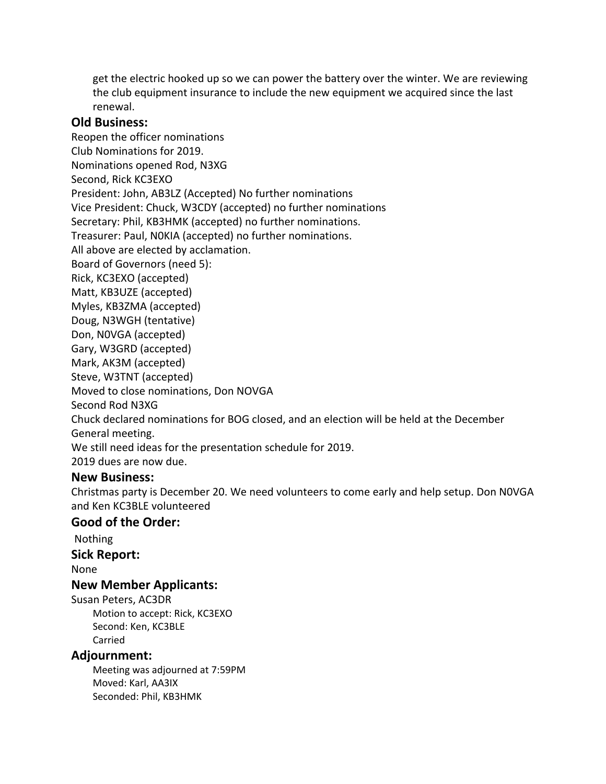get the electric hooked up so we can power the battery over the winter. We are reviewing the club equipment insurance to include the new equipment we acquired since the last renewal.

#### **Old Business:**

Reopen the officer nominations Club Nominations for 2019. Nominations opened Rod, N3XG Second, Rick KC3EXO President: John, AB3LZ (Accepted) No further nominations Vice President: Chuck, W3CDY (accepted) no further nominations Secretary: Phil, KB3HMK (accepted) no further nominations. Treasurer: Paul, N0KIA (accepted) no further nominations. All above are elected by acclamation. Board of Governors (need 5): Rick, KC3EXO (accepted) Matt, KB3UZE (accepted) Myles, KB3ZMA (accepted) Doug, N3WGH (tentative) Don, N0VGA (accepted) Gary, W3GRD (accepted) Mark, AK3M (accepted) Steve, W3TNT (accepted) Moved to close nominations, Don NOVGA Second Rod N3XG Chuck declared nominations for BOG closed, and an election will be held at the December General meeting. We still need ideas for the presentation schedule for 2019.

2019 dues are now due.

#### **New Business:**

Christmas party is December 20. We need volunteers to come early and help setup. Don N0VGA and Ken KC3BLE volunteered

## **Good of the Order:**

Nothing

**Sick Report:**

None

#### **New Member Applicants:**

Susan Peters, AC3DR Motion to accept: Rick, KC3EXO Second: Ken, KC3BLE Carried

#### **Adjournment:**

Meeting was adjourned at 7:59PM Moved: Karl, AA3IX Seconded: Phil, KB3HMK